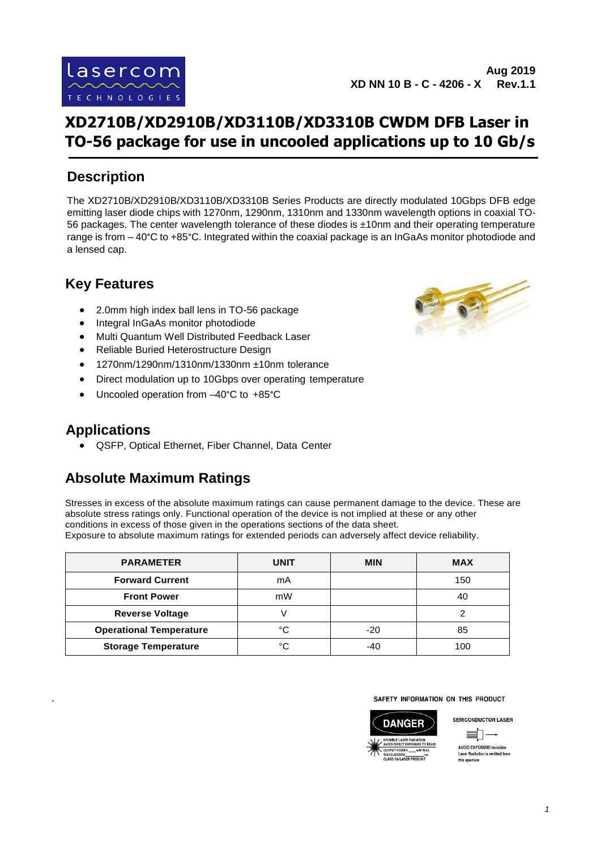**Aug 2019 XD NN 10 B - C - 4206 - X Rev.1.1**

# **XD2710B/XD2910B/XD3110B/XD3310B CWDM DFB Laser in TO-56 package for use in uncooled applications up to 10 Gb/s**

### **Description**

The XD2710B/XD2910B/XD3110B/XD3310B Series Products are directly modulated 10Gbps DFB edge emitting laser diode chips with 1270nm, 1290nm, 1310nm and 1330nm wavelength options in coaxial TO-56 packages. The center wavelength tolerance of these diodes is ±10nm and their operating temperature range is from – 40°C to +85°C. Integrated within the coaxial package is an InGaAs monitor photodiode and a lensed cap.

### **Key Features**

- 2.0mm high index ball lens in TO-56 package
- Integral InGaAs monitor photodiode
- Multi Quantum Well Distributed Feedback Laser
- Reliable Buried Heterostructure Design
- 1270nm/1290nm/1310nm/1330nm ±10nm tolerance
- Direct modulation up to 10Gbps over operating temperature
- Uncooled operation from –40°C to +85°C

#### **Applications**

.

• QSFP, Optical Ethernet, Fiber Channel, Data Center

## **Absolute Maximum Ratings**

Stresses in excess of the absolute maximum ratings can cause permanent damage to the device. These are absolute stress ratings only. Functional operation of the device is not implied at these or any other conditions in excess of those given in the operations sections of the data sheet. Exposure to absolute maximum ratings for extended periods can adversely affect device reliability.

| <b>PARAMETER</b>               | <b>UNIT</b> | <b>MIN</b> | <b>MAX</b> |
|--------------------------------|-------------|------------|------------|
| <b>Forward Current</b>         | mA          |            | 150        |
| <b>Front Power</b>             | mW          |            | 40         |
| <b>Reverse Voltage</b>         |             |            |            |
| <b>Operational Temperature</b> | °C          | $-20$      | 85         |
| <b>Storage Temperature</b>     | °C          | -40        | 100        |

#### SAFETY INFORMATION ON THIS PRODUCT



**SEMICONDUCTOR LASER** ミ」

> **AVOID EXPOSURE-Invisible** er Radiation is emitted fron this aperture